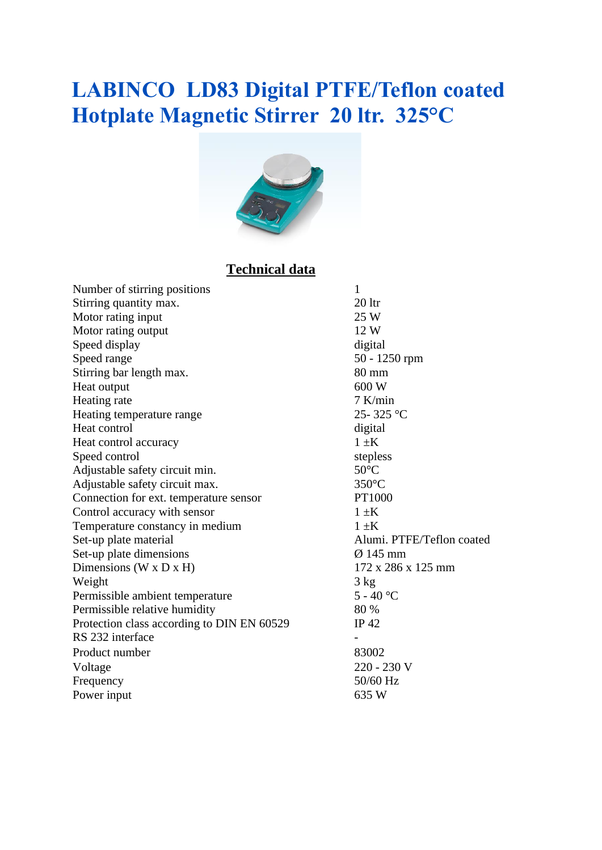## **LABINCO LD83 Digital PTFE/Teflon coated Hotplate Magnetic Stirrer 20 ltr. 325°C**



### **Technical data**

| Number of stirring positions               | $\mathbf{1}$              |
|--------------------------------------------|---------------------------|
| Stirring quantity max.                     | 20 <sub>ltr</sub>         |
| Motor rating input                         | 25 W                      |
| Motor rating output                        | 12 W                      |
| Speed display                              | digital                   |
| Speed range                                | $50 - 1250$ rpm           |
| Stirring bar length max.                   | $80 \text{ mm}$           |
| Heat output                                | 600 W                     |
| Heating rate                               | $7$ K/min                 |
| Heating temperature range                  | 25-325 °C                 |
| Heat control                               | digital                   |
| Heat control accuracy                      | $1 \pm K$                 |
| Speed control                              | stepless                  |
| Adjustable safety circuit min.             | $50^{\circ}$ C            |
| Adjustable safety circuit max.             | $350^{\circ}$ C           |
| Connection for ext. temperature sensor     | PT1000                    |
| Control accuracy with sensor               | $1 \pm K$                 |
| Temperature constancy in medium            | $1 \pm K$                 |
| Set-up plate material                      | Alumi. PTFE/Teflon coated |
| Set-up plate dimensions                    | $\varnothing$ 145 mm      |
| Dimensions ( $W \times D \times H$ )       | 172 x 286 x 125 mm        |
| Weight                                     | 3 kg                      |
| Permissible ambient temperature            | $5 - 40$ °C               |
| Permissible relative humidity              | 80 %                      |
| Protection class according to DIN EN 60529 | IP $42$                   |
| RS 232 interface                           |                           |
| Product number                             | 83002                     |
| Voltage                                    | 220 - 230 V               |
| Frequency                                  | 50/60 Hz                  |
| Power input                                | 635 W                     |
|                                            |                           |